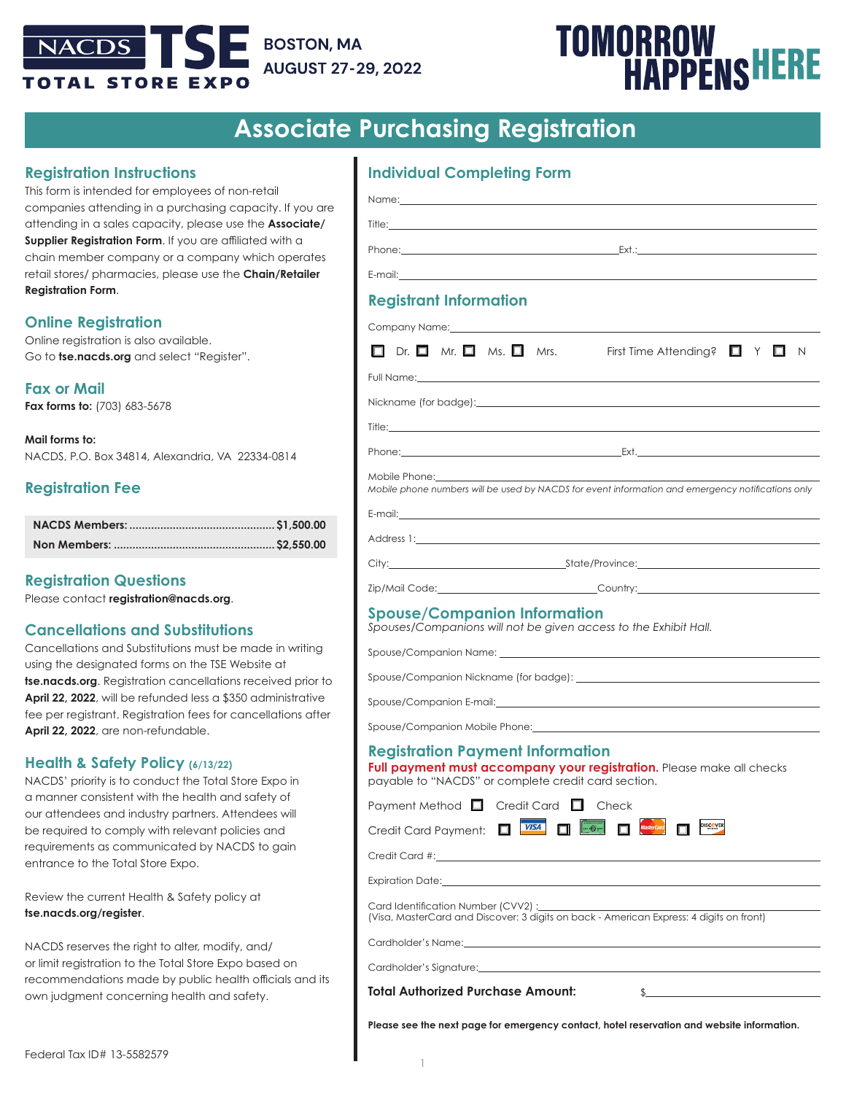# **BOSTON, MA NACDS AUGUST 27-29, 2022 OTAL STORE EXPO**

# **TOMORROW<br>HAPPENSHERE**

# **Associate Purchasing Registration**

# **Registration Instructions**

This form is intended for employees of non-retail companies attending in a purchasing capacity. If you are attending in a sales capacity, please use the **Associate/ Supplier Registration Form.** If you are affiliated with a chain member company or a company which operates retail stores/ pharmacies, please use the **Chain/Retailer Registration Form**.

# **Online Registration**

Online registration is also available. Go to **tse.nacds.org** and select "Register".

**Fax or Mail Fax forms to:** (703) 683-5678

**Mail forms to:** NACDS, P.O. Box 34814, Alexandria, VA 22334-0814

# **Registration Fee**

# **Registration Questions**

Please contact **registration@nacds.org**.

# **Cancellations and Substitutions**

Cancellations and Substitutions must be made in writing using the designated forms on the TSE Website at **tse.nacds.org**. Registration cancellations received prior to **April 22, 2022**, will be refunded less a \$350 administrative fee per registrant. Registration fees for cancellations after **April 22, 2022**, are non-refundable.

# **Health & Safety Policy (6/13/22)**

NACDS' priority is to conduct the Total Store Expo in a manner consistent with the health and safety of our attendees and industry partners. Attendees will be required to comply with relevant policies and requirements as communicated by NACDS to gain entrance to the Total Store Expo.

Review the current Health & Safety policy at **tse.nacds.org/register**.

NACDS reserves the right to alter, modify, and/ or limit registration to the Total Store Expo based on recommendations made by public health officials and its own judgment concerning health and safety.

| <b>Individual Completing Form</b> |  |  |
|-----------------------------------|--|--|
|                                   |  |  |

|                                                                                                                                                                                                                                | Phone: Ext.:                                                                                                                                                                                                                   |
|--------------------------------------------------------------------------------------------------------------------------------------------------------------------------------------------------------------------------------|--------------------------------------------------------------------------------------------------------------------------------------------------------------------------------------------------------------------------------|
|                                                                                                                                                                                                                                | E-mail: E-mail: All and the state of the state of the state of the state of the state of the state of the state of the state of the state of the state of the state of the state of the state of the state of the state of the |
| <b>Registrant Information</b>                                                                                                                                                                                                  |                                                                                                                                                                                                                                |
|                                                                                                                                                                                                                                | Company Name: Manual According to the Company Name: Manual According to the Company Name: Manual According to the Company of the Company of the Company of the Company of the Company of the Company of the Company of the Com |
|                                                                                                                                                                                                                                | $\Box$ Dr. $\Box$ Mr. $\Box$ Ms. $\Box$ Mrs. First Time Attending? $\Box$ Y $\Box$ N                                                                                                                                           |
|                                                                                                                                                                                                                                | Full Name: The Commission of the Commission of the Commission of the Commission of the Commission of the Commission of the Commission of the Commission of the Commission of the Commission of the Commission of the Commissio |
|                                                                                                                                                                                                                                |                                                                                                                                                                                                                                |
|                                                                                                                                                                                                                                |                                                                                                                                                                                                                                |
|                                                                                                                                                                                                                                |                                                                                                                                                                                                                                |
| Mobile Phone:                                                                                                                                                                                                                  |                                                                                                                                                                                                                                |
|                                                                                                                                                                                                                                | Mobile phone numbers will be used by NACDS for event information and emergency notifications only                                                                                                                              |
|                                                                                                                                                                                                                                |                                                                                                                                                                                                                                |
|                                                                                                                                                                                                                                | Address 1: the contract of the contract of the contract of the contract of the contract of the contract of the contract of the contract of the contract of the contract of the contract of the contract of the contract of the |
|                                                                                                                                                                                                                                | Zip/Mail Code:__________________________________Country:_________________________                                                                                                                                              |
|                                                                                                                                                                                                                                | Spouses/Companions will not be given access to the Exhibit Hall.                                                                                                                                                               |
|                                                                                                                                                                                                                                |                                                                                                                                                                                                                                |
|                                                                                                                                                                                                                                |                                                                                                                                                                                                                                |
|                                                                                                                                                                                                                                |                                                                                                                                                                                                                                |
|                                                                                                                                                                                                                                |                                                                                                                                                                                                                                |
| <b>Registration Payment Information</b>                                                                                                                                                                                        | Full payment must accompany your registration. Please make all checks<br>payable to "NACDS" or complete credit card section.                                                                                                   |
| Payment Method $\Box$ Credit Card $\Box$ Check                                                                                                                                                                                 |                                                                                                                                                                                                                                |
| П<br>Credit Card Payment:                                                                                                                                                                                                      | $-6-$<br><b>DISCOVER</b><br><b>VISA</b>                                                                                                                                                                                        |
| Credit Card #: the contract of the contract of the contract of the contract of the contract of the contract of the contract of the contract of the contract of the contract of the contract of the contract of the contract of |                                                                                                                                                                                                                                |
|                                                                                                                                                                                                                                |                                                                                                                                                                                                                                |
| Card Identification Number (CVV2) :______                                                                                                                                                                                      | (Visa, MasterCard and Discover: 3 digits on back - American Express: 4 digits on front)                                                                                                                                        |
|                                                                                                                                                                                                                                |                                                                                                                                                                                                                                |

**Please see the next page for emergency contact, hotel reservation and website information.**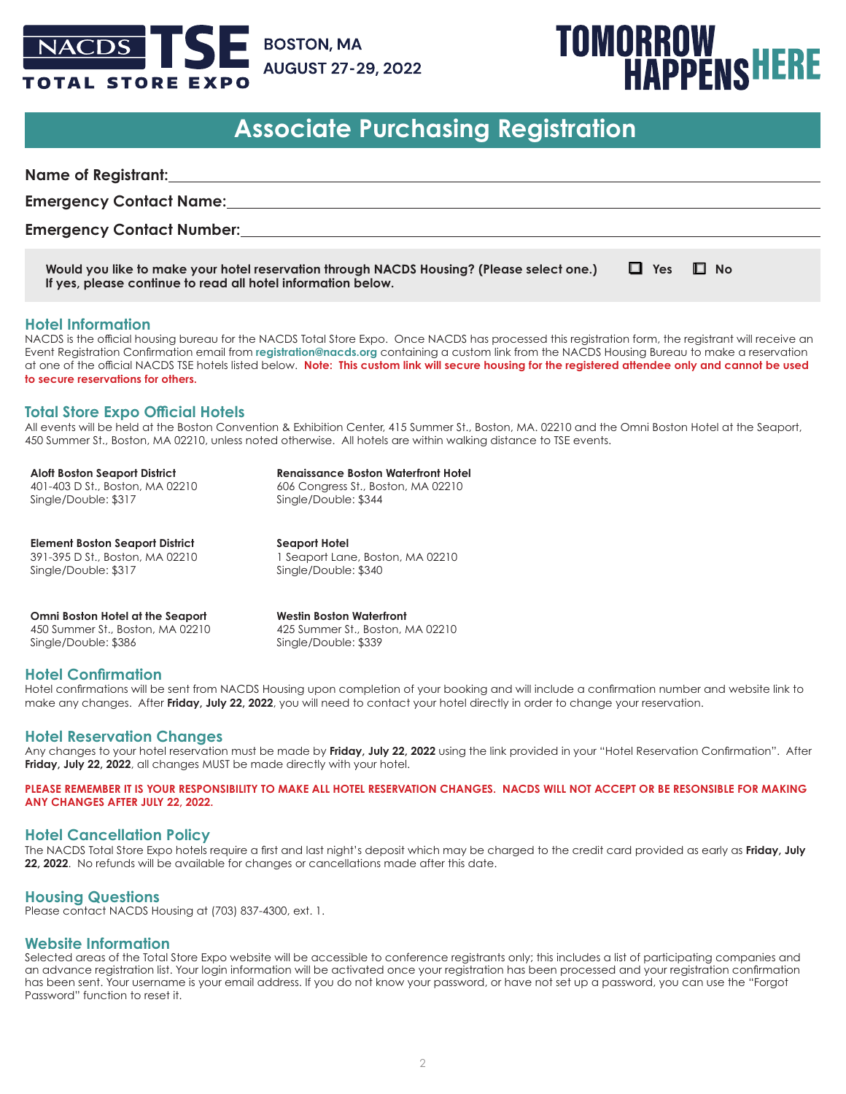

**If yes, please continue to read all hotel information below.**

# **TOMORROW<br>HAPPENSHERE**

# **Associate Purchasing Registration**

| <b>Name of Registrant:</b>                                                                |            |           |  |
|-------------------------------------------------------------------------------------------|------------|-----------|--|
| <b>Emergency Contact Name:</b>                                                            |            |           |  |
| <b>Emergency Contact Number:</b>                                                          |            |           |  |
| Would you like to make your hotel reservation through NACDS Housing? (Please select one.) | $\Box$ Yes | $\Box$ No |  |

### **Hotel Information**

NACDS is the official housing bureau for the NACDS Total Store Expo. Once NACDS has processed this registration form, the registrant will receive an Event Registration Confirmation email from **registration@nacds.org** containing a custom link from the NACDS Housing Bureau to make a reservation at one of the official NACDS TSE hotels listed below. **Note: This custom link will secure housing for the registered attendee only and cannot be used to secure reservations for others.**

### **Total Store Expo Official Hotels**

All events will be held at the Boston Convention & Exhibition Center, 415 Summer St., Boston, MA. 02210 and the Omni Boston Hotel at the Seaport, 450 Summer St., Boston, MA 02210, unless noted otherwise. All hotels are within walking distance to TSE events.

**Aloft Boston Seaport District** 401-403 D St., Boston, MA 02210 Single/Double: \$317

**Renaissance Boston Waterfront Hotel** 606 Congress St., Boston, MA 02210

Single/Double: \$344

**Element Boston Seaport District** 391-395 D St., Boston, MA 02210 Single/Double: \$317

**Seaport Hotel** 1 Seaport Lane, Boston, MA 02210 Single/Double: \$340

**Omni Boston Hotel at the Seaport** 450 Summer St., Boston, MA 02210 Single/Double: \$386

**Westin Boston Waterfront** 425 Summer St., Boston, MA 02210 Single/Double: \$339

### **Hotel Confirmation**

Hotel confirmations will be sent from NACDS Housing upon completion of your booking and will include a confirmation number and website link to make any changes. After **Friday, July 22, 2022**, you will need to contact your hotel directly in order to change your reservation.

### **Hotel Reservation Changes**

Any changes to your hotel reservation must be made by **Friday, July 22, 2022** using the link provided in your "Hotel Reservation Confirmation". After **Friday, July 22, 2022**, all changes MUST be made directly with your hotel.

**PLEASE REMEMBER IT IS YOUR RESPONSIBILITY TO MAKE ALL HOTEL RESERVATION CHANGES. NACDS WILL NOT ACCEPT OR BE RESONSIBLE FOR MAKING ANY CHANGES AFTER JULY 22, 2022.**

## **Hotel Cancellation Policy**

The NACDS Total Store Expo hotels require a first and last night's deposit which may be charged to the credit card provided as early as **Friday, July 22, 2022**. No refunds will be available for changes or cancellations made after this date.

### **Housing Questions**

Please contact NACDS Housing at (703) 837-4300, ext. 1.

### **Website Information**

Selected areas of the Total Store Expo website will be accessible to conference registrants only; this includes a list of participating companies and an advance registration list. Your login information will be activated once your registration has been processed and your registration confirmation has been sent. Your username is your email address. If you do not know your password, or have not set up a password, you can use the "Forgot Password" function to reset it.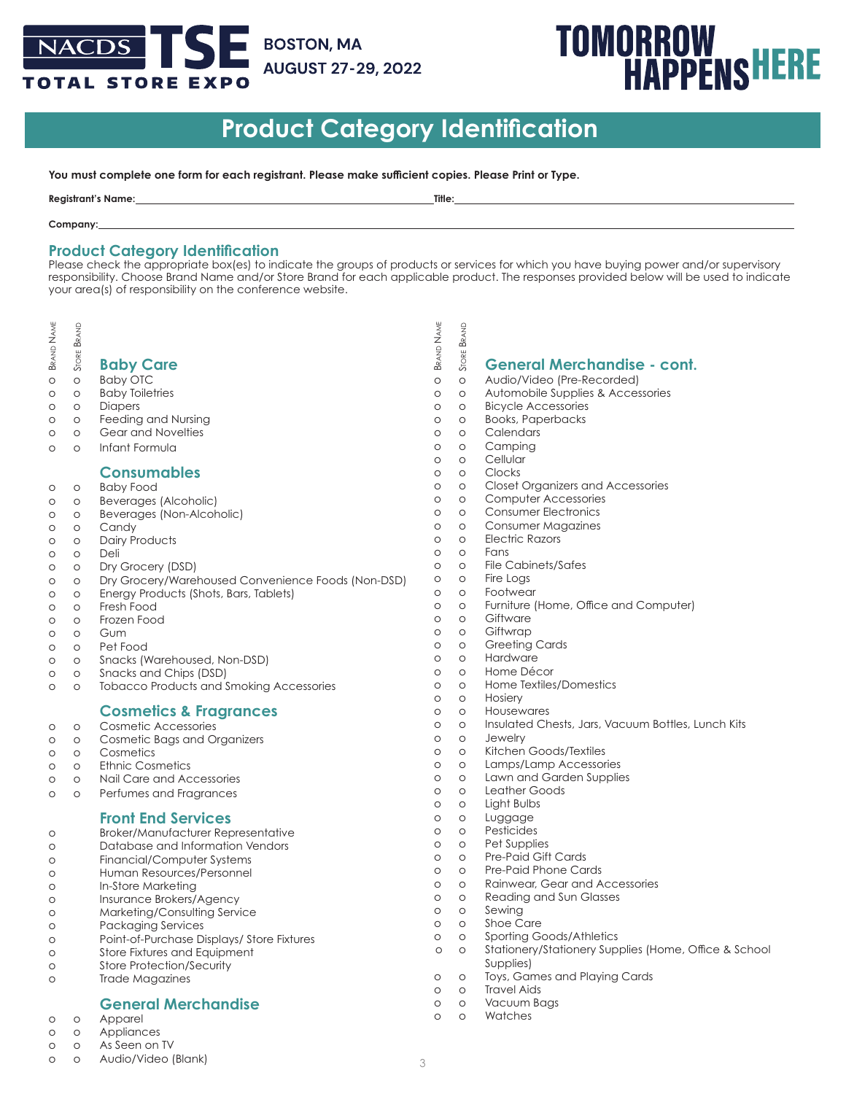# NACDS **BOSTON, MA AUGUST 27-29, 2022 TOTAL STORE EXPO**

# **TOMORROW<br>HAPPENSHERE**

# **Product Category Identification**

**You must complete one form for each registrant. Please make sufficient copies. Please Print or Type.**

| Registrant<br><b>Name</b> | Title <sup>-</sup> |
|---------------------------|--------------------|
|                           |                    |

#### **Company:**

## **Product Category Identification**

Please check the appropriate box(es) to indicate the groups of products or services for which you have buying power and/or supervisory responsibility. Choose Brand Name and/or Store Brand for each applicable product. The responses provided below will be used to indicate your area(s) of responsibility on the conference website.

- **BRAND** Brand Name
- Store Brand

# **Baby Care**<br> **Baby Care**<br> **Baby Care**<br> **Baby OTC**

- o o Baby OTC
- o o Baby Toiletries
- o o Diapers o o Feeding and Nursing
- o o Gear and Novelties
- o o Infant Formula

## **Consumables**

- o o Baby Food
- o o Beverages (Alcoholic)
- o o Beverages (Non-Alcoholic)
- o o Candy
- o o Dairy Products
- o o Deli
- o o Dry Grocery (DSD)
- o o Dry Grocery/Warehoused Convenience Foods (Non-DSD)
- o o Energy Products (Shots, Bars, Tablets)
- o o Fresh Food
- o o Frozen Food
- o o Gum o o Pet Food
- o o Snacks (Warehoused, Non-DSD)
- o o Snacks and Chips (DSD)
- o o Tobacco Products and Smoking Accessories

# **Cosmetics & Fragrances**

- o o Cosmetic Accessories
- o o Cosmetic Bags and Organizers
- o o Cosmetics
- o o Ethnic Cosmetics
- o o Nail Care and Accessories
- o o Perfumes and Fragrances

# **Front End Services**

- o Broker/Manufacturer Representative
- o Database and Information Vendors
- o Financial/Computer Systems o Human Resources/Personnel
- o In-Store Marketing
- 
- o Insurance Brokers/Agency
- o Marketing/Consulting Service o Packaging Services
- o Point-of-Purchase Displays/ Store Fixtures
- o Store Fixtures and Equipment
- o Store Protection/Security
- o Trade Magazines

# **General Merchandise**

- o o Apparel
- o o Appliances
- o o As Seen on TV
- o o Audio/Video (Blank)
- **NAME BRAND** Brand Name Store Brand  $\begin{array}{ccc} \frac{1}{\sqrt{2}} & \frac{\omega}{\omega} & \frac{\omega}{\omega} \\ \frac{\omega}{\omega} & \frac{\omega}{\omega} & \frac{\omega}{\omega} \end{array}$  **General Merchandise - cont.** Audio/Video (Pre-Recorded) o o Automobile Supplies & Accessories o o Bicycle Accessories o o Books, Paperbacks o o Calendars o o Camping o o Cellular o o Clocks o o Closet Organizers and Accessories o o Computer Accessories o o Consumer Electronics o o Consumer Magazines o o Electric Razors o o Fans o o File Cabinets/Safes o o Fire Logs o o Footwear o o Furniture (Home, Office and Computer) o o Giftware o o Giftwrap o o Greeting Cards o o Hardware o o Home Décor o o Home Textiles/Domestics o o Hosiery o o Housewares o o Insulated Chests, Jars, Vacuum Bottles, Lunch Kits o o Jewelry o o Kitchen Goods/Textiles o o Lamps/Lamp Accessories
- o o Lawn and Garden Supplies
- o o Leather Goods
- o o Light Bulbs
- o o Luggage
- o o Pesticides
- o o Pet Supplies
- o o Pre-Paid Gift Cards
- o o Pre-Paid Phone Cards
- o o Rainwear, Gear and Accessories
- o o Reading and Sun Glasses
- o o Sewing
- o o Shoe Care
- o o Sporting Goods/Athletics
- o o Stationery/Stationery Supplies (Home, Office & School **Supplies**)
- o o Toys, Games and Playing Cards
- o o Travel Aids
- o o Vacuum Bags o o Watches
-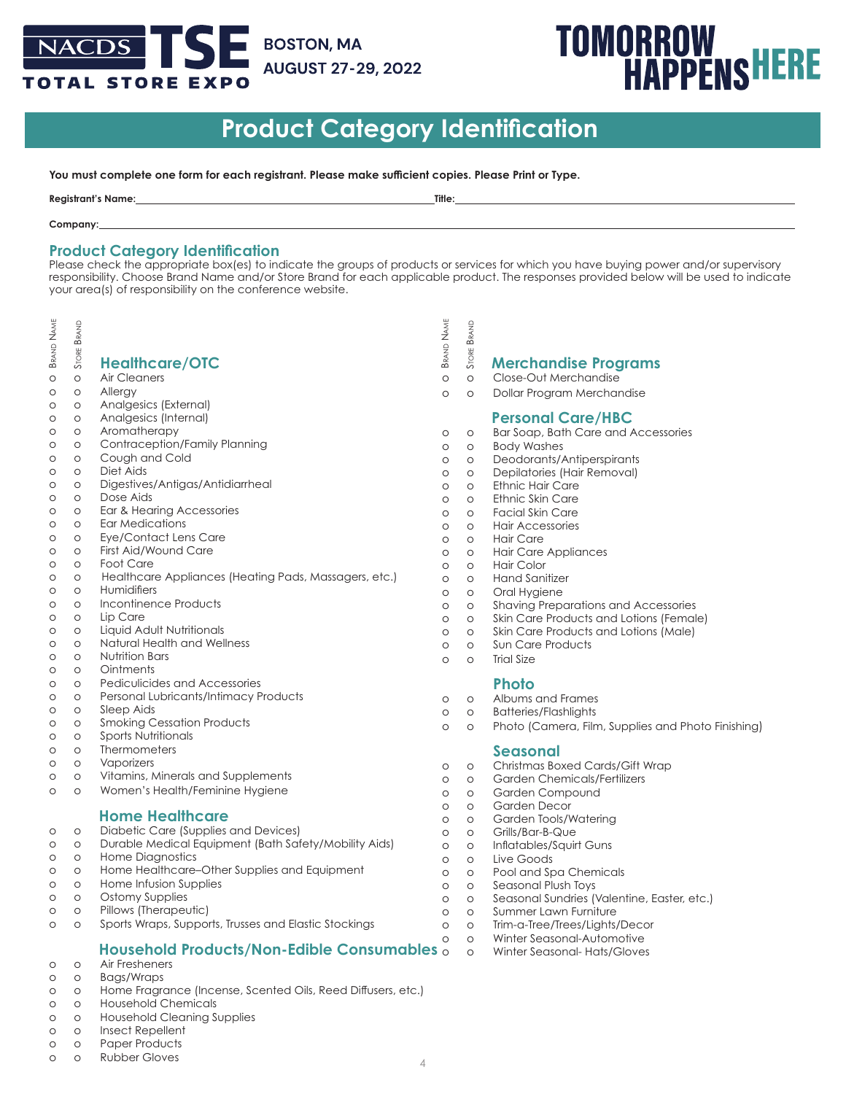# **BOSTON, MA** NACDS | **AUGUST 27-29, 2022 OTAL STORE EXPO**

# **TOMORROW<br>HAPPENSHERE**

# **Product Category Identification**

**You must complete one form for each registrant. Please make sufficient copies. Please Print or Type.**

| <b>Registrant's</b><br>Name.<br>______ | Title: |
|----------------------------------------|--------|
|                                        |        |

#### **Company:**

# **Product Category Identification**

Please check the appropriate box(es) to indicate the groups of products or services for which you have buying power and/or supervisory responsibility. Choose Brand Name and/or Store Brand for each applicable product. The responses provided below will be used to indicate your area(s) of responsibility on the conference website.

BRAND **NAME** BRAND ្ត្រី ខ្ញុំ<br>2 និង<br>និ នី **Healthcare/OTC** Brand Name Brand Name Store Brand Store Brand **BRAND** STORE **Merchandise Programs** o o Air Cleaners o o Close-Out Merchandise o o Allergy o o Dollar Program Merchandise o o Analgesics (External) **Personal Care/HBC** o o Analgesics (Internal) o o Aromatherapy o o Bar Soap, Bath Care and Accessories o o Contraception/Family Planning o o Body Washes o o Cough and Cold o o Deodorants/Antiperspirants o o Diet Aids o o Depilatories (Hair Removal) o o Digestives/Antigas/Antidiarrheal o o Ethnic Hair Care o o Dose Aids o o Ethnic Skin Care o o Ear & Hearing Accessories o o Facial Skin Care o o Ear Medications o o Hair Accessories o o Eye/Contact Lens Care o o Hair Care o o First Aid/Wound Care o o Hair Care Appliances o o Foot Care o o Hair Color o o Healthcare Appliances (Heating Pads, Massagers, etc.) o o Hand Sanitizer o o Humidifiers o o Oral Hygiene o o Incontinence Products o o Shaving Preparations and Accessories o o Lip Care o o Skin Care Products and Lotions (Female) o o Liquid Adult Nutritionals o o Skin Care Products and Lotions (Male) o o Natural Health and Wellness o o Sun Care Products o o Nutrition Bars o o Trial Size o o Ointments o o Pediculicides and Accessories **Photo** o o Personal Lubricants/Intimacy Products o o Albums and Frames o o Sleep Aids o o Batteries/Flashlights o o Smoking Cessation Products o o Photo (Camera, Film, Supplies and Photo Finishing) o o Sports Nutritionals o o Thermometers **Seasonal**<br> **Seasonal**<br> **Seasonal** o o Vaporizers Christmas Boxed Cards/Gift Wrap o o Vitamins, Minerals and Supplements o o Garden Chemicals/Fertilizers o o Women's Health/Feminine Hygiene o o Garden Compound o o Garden Decor **Home Healthcare** o o Garden Tools/Watering o o Diabetic Care (Supplies and Devices) o o Grills/Bar-B-Que o o Durable Medical Equipment (Bath Safety/Mobility Aids) o o Inflatables/Squirt Guns o o Home Diagnostics o o Live Goods o o Home Healthcare–Other Supplies and Equipment o o Pool and Spa Chemicals o o Home Infusion Supplies o o Seasonal Plush Toys o o Ostomy Supplies o o Seasonal Sundries (Valentine, Easter, etc.) o o Pillows (Therapeutic) o o Summer Lawn Furniture o o Sports Wraps, Supports, Trusses and Elastic Stockings o o Trim-a-Tree/Trees/Lights/Decor o o Winter Seasonal-Automotive o o Winter Seasonal- Hats/Gloves

- **Household Products/Non-Edible Consumables** o o Air Fresheners
- o o Bags/Wraps
- o o Home Fragrance (Incense, Scented Oils, Reed Diffusers, etc.)
- o o Household Chemicals
- o o Household Cleaning Supplies
- o o Insect Repellent
- o o Paper Products
- o o Rubber Gloves